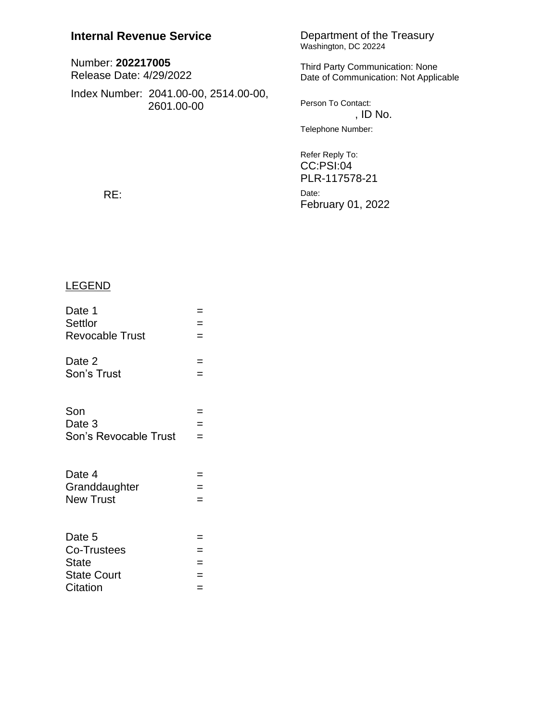## **Internal Revenue Service**

| Number: 202217005<br>Release Date: 4/29/2022 |                                                     |          |
|----------------------------------------------|-----------------------------------------------------|----------|
|                                              | Index Number: 2041.00-00, 2514.00-00,<br>2601.00-00 | Person T |
|                                              |                                                     | Telephor |
|                                              |                                                     |          |

# Department of the Treasury<br>Washington, DC 20224

arty Communication: None Communication: Not Applicable

To Contact: , ID No. ne Number:

Refer Reply To: CC:PSI:04 PLR-117578-21 Date: February 01, 2022

RE:

### **LEGEND**

| Date 1                 | Ξ   |
|------------------------|-----|
| Settlor                | $=$ |
| <b>Revocable Trust</b> | $=$ |
| Date 2                 | $=$ |
| Son's Trust            | $=$ |
|                        |     |
| Son                    | =   |
| Date 3                 | $=$ |
| Son's Revocable Trust  | $=$ |
|                        |     |
| Date 4                 | =   |
| Granddaughter          | $=$ |
| <b>New Trust</b>       | $=$ |
|                        |     |
| Date 5                 | =   |
| Co-Trustees            | $=$ |
| <b>State</b>           | $=$ |
| <b>State Court</b>     | $=$ |
| Citation               | $=$ |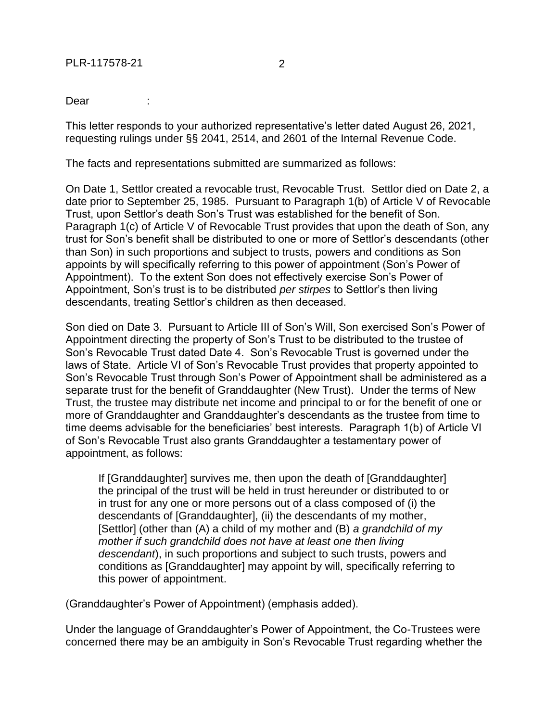Dear :

This letter responds to your authorized representative's letter dated August 26, 2021, requesting rulings under §§ 2041, 2514, and 2601 of the Internal Revenue Code.

The facts and representations submitted are summarized as follows:

On Date 1, Settlor created a revocable trust, Revocable Trust. Settlor died on Date 2, a date prior to September 25, 1985. Pursuant to Paragraph 1(b) of Article V of Revocable Trust, upon Settlor's death Son's Trust was established for the benefit of Son. Paragraph 1(c) of Article V of Revocable Trust provides that upon the death of Son, any trust for Son's benefit shall be distributed to one or more of Settlor's descendants (other than Son) in such proportions and subject to trusts, powers and conditions as Son appoints by will specifically referring to this power of appointment (Son's Power of Appointment). To the extent Son does not effectively exercise Son's Power of Appointment, Son's trust is to be distributed *per stirpes* to Settlor's then living descendants, treating Settlor's children as then deceased.

Son died on Date 3. Pursuant to Article III of Son's Will, Son exercised Son's Power of Appointment directing the property of Son's Trust to be distributed to the trustee of Son's Revocable Trust dated Date 4. Son's Revocable Trust is governed under the laws of State. Article VI of Son's Revocable Trust provides that property appointed to Son's Revocable Trust through Son's Power of Appointment shall be administered as a separate trust for the benefit of Granddaughter (New Trust). Under the terms of New Trust, the trustee may distribute net income and principal to or for the benefit of one or more of Granddaughter and Granddaughter's descendants as the trustee from time to time deems advisable for the beneficiaries' best interests. Paragraph 1(b) of Article VI of Son's Revocable Trust also grants Granddaughter a testamentary power of appointment, as follows:

If [Granddaughter] survives me, then upon the death of [Granddaughter] the principal of the trust will be held in trust hereunder or distributed to or in trust for any one or more persons out of a class composed of (i) the descendants of [Granddaughter], (ii) the descendants of my mother, [Settlor] (other than (A) a child of my mother and (B) *a grandchild of my mother if such grandchild does not have at least one then living descendant*), in such proportions and subject to such trusts, powers and conditions as [Granddaughter] may appoint by will, specifically referring to this power of appointment.

(Granddaughter's Power of Appointment) (emphasis added).

Under the language of Granddaughter's Power of Appointment, the Co-Trustees were concerned there may be an ambiguity in Son's Revocable Trust regarding whether the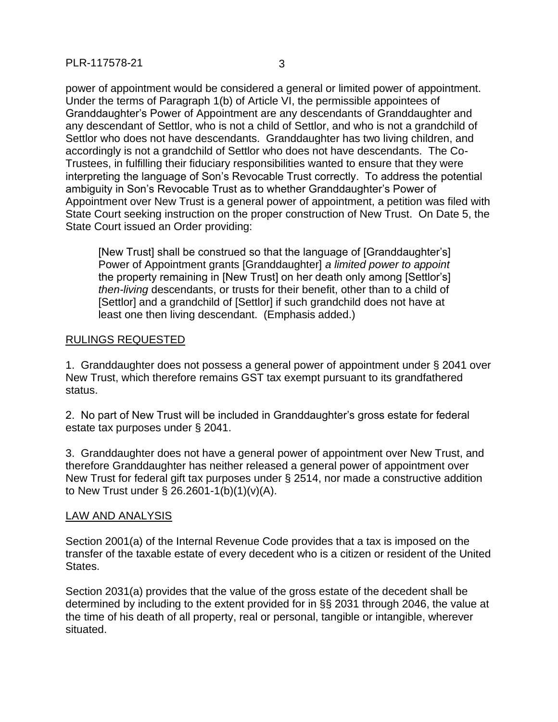power of appointment would be considered a general or limited power of appointment. Under the terms of Paragraph 1(b) of Article VI, the permissible appointees of Granddaughter's Power of Appointment are any descendants of Granddaughter and any descendant of Settlor, who is not a child of Settlor, and who is not a grandchild of Settlor who does not have descendants. Granddaughter has two living children, and accordingly is not a grandchild of Settlor who does not have descendants. The Co-Trustees, in fulfilling their fiduciary responsibilities wanted to ensure that they were interpreting the language of Son's Revocable Trust correctly. To address the potential ambiguity in Son's Revocable Trust as to whether Granddaughter's Power of Appointment over New Trust is a general power of appointment, a petition was filed with State Court seeking instruction on the proper construction of New Trust. On Date 5, the State Court issued an Order providing:

[New Trust] shall be construed so that the language of [Granddaughter's] Power of Appointment grants [Granddaughter] *a limited power to appoint*  the property remaining in [New Trust] on her death only among [Settlor's] *then-living* descendants, or trusts for their benefit, other than to a child of [Settlor] and a grandchild of [Settlor] if such grandchild does not have at least one then living descendant. (Emphasis added.)

#### RULINGS REQUESTED

1. Granddaughter does not possess a general power of appointment under § 2041 over New Trust, which therefore remains GST tax exempt pursuant to its grandfathered status.

2. No part of New Trust will be included in Granddaughter's gross estate for federal estate tax purposes under § 2041.

3. Granddaughter does not have a general power of appointment over New Trust, and therefore Granddaughter has neither released a general power of appointment over New Trust for federal gift tax purposes under § 2514, nor made a constructive addition to New Trust under § 26.2601-1(b)(1)(v)(A).

#### LAW AND ANALYSIS

Section 2001(a) of the Internal Revenue Code provides that a tax is imposed on the transfer of the taxable estate of every decedent who is a citizen or resident of the United States.

Section 2031(a) provides that the value of the gross estate of the decedent shall be determined by including to the extent provided for in §§ 2031 through 2046, the value at the time of his death of all property, real or personal, tangible or intangible, wherever situated.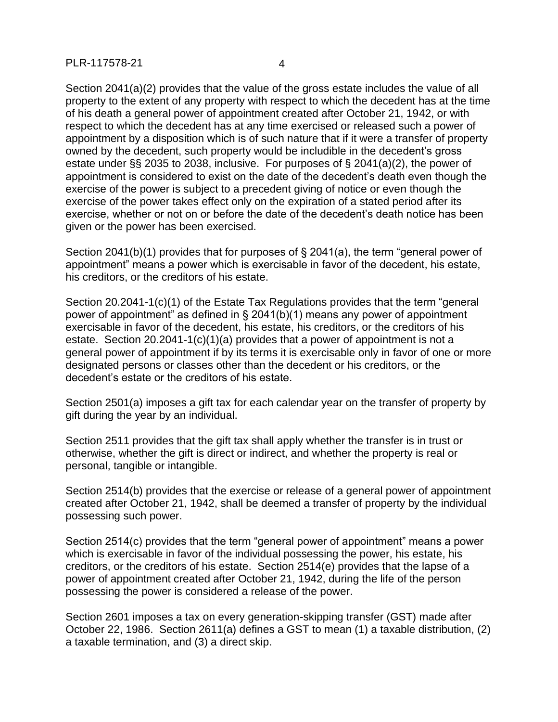#### PLR-117578-21 4

Section 2041(a)(2) provides that the value of the gross estate includes the value of all property to the extent of any property with respect to which the decedent has at the time of his death a general power of appointment created after October 21, 1942, or with respect to which the decedent has at any time exercised or released such a power of appointment by a disposition which is of such nature that if it were a transfer of property owned by the decedent, such property would be includible in the decedent's gross estate under §§ 2035 to 2038, inclusive. For purposes of § 2041(a)(2), the power of appointment is considered to exist on the date of the decedent's death even though the exercise of the power is subject to a precedent giving of notice or even though the exercise of the power takes effect only on the expiration of a stated period after its exercise, whether or not on or before the date of the decedent's death notice has been given or the power has been exercised.

Section 2041(b)(1) provides that for purposes of § 2041(a), the term "general power of appointment" means a power which is exercisable in favor of the decedent, his estate, his creditors, or the creditors of his estate.

Section 20.2041-1(c)(1) of the Estate Tax Regulations provides that the term "general power of appointment" as defined in § 2041(b)(1) means any power of appointment exercisable in favor of the decedent, his estate, his creditors, or the creditors of his estate. Section 20.2041-1(c)(1)(a) provides that a power of appointment is not a general power of appointment if by its terms it is exercisable only in favor of one or more designated persons or classes other than the decedent or his creditors, or the decedent's estate or the creditors of his estate.

Section 2501(a) imposes a gift tax for each calendar year on the transfer of property by gift during the year by an individual.

Section 2511 provides that the gift tax shall apply whether the transfer is in trust or otherwise, whether the gift is direct or indirect, and whether the property is real or personal, tangible or intangible.

Section 2514(b) provides that the exercise or release of a general power of appointment created after October 21, 1942, shall be deemed a transfer of property by the individual possessing such power.

Section 2514(c) provides that the term "general power of appointment" means a power which is exercisable in favor of the individual possessing the power, his estate, his creditors, or the creditors of his estate. Section 2514(e) provides that the lapse of a power of appointment created after October 21, 1942, during the life of the person possessing the power is considered a release of the power.

Section 2601 imposes a tax on every generation-skipping transfer (GST) made after October 22, 1986. Section 2611(a) defines a GST to mean (1) a taxable distribution, (2) a taxable termination, and (3) a direct skip.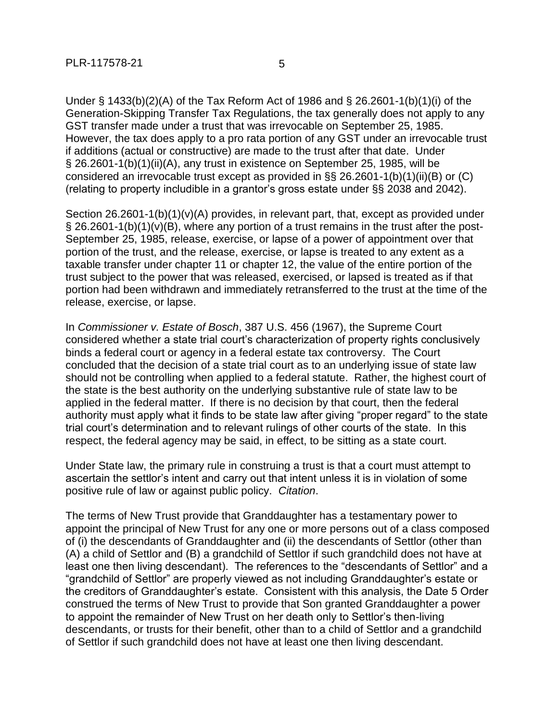Under § 1433(b)(2)(A) of the Tax Reform Act of 1986 and § 26.2601-1(b)(1)(i) of the Generation-Skipping Transfer Tax Regulations, the tax generally does not apply to any GST transfer made under a trust that was irrevocable on September 25, 1985. However, the tax does apply to a pro rata portion of any GST under an irrevocable trust if additions (actual or constructive) are made to the trust after that date. Under § 26.2601-1(b)(1)(ii)(A), any trust in existence on September 25, 1985, will be considered an irrevocable trust except as provided in §§ 26.2601-1(b)(1)(ii)(B) or (C) (relating to property includible in a grantor's gross estate under §§ 2038 and 2042).

Section 26.2601-1(b)(1)(v)(A) provides, in relevant part, that, except as provided under § 26.2601-1(b)(1)(v)(B), where any portion of a trust remains in the trust after the post-September 25, 1985, release, exercise, or lapse of a power of appointment over that portion of the trust, and the release, exercise, or lapse is treated to any extent as a taxable transfer under chapter 11 or chapter 12, the value of the entire portion of the trust subject to the power that was released, exercised, or lapsed is treated as if that portion had been withdrawn and immediately retransferred to the trust at the time of the release, exercise, or lapse.

In *Commissioner v. Estate of Bosch*, 387 U.S. 456 (1967), the Supreme Court considered whether a state trial court's characterization of property rights conclusively binds a federal court or agency in a federal estate tax controversy. The Court concluded that the decision of a state trial court as to an underlying issue of state law should not be controlling when applied to a federal statute. Rather, the highest court of the state is the best authority on the underlying substantive rule of state law to be applied in the federal matter. If there is no decision by that court, then the federal authority must apply what it finds to be state law after giving "proper regard" to the state trial court's determination and to relevant rulings of other courts of the state. In this respect, the federal agency may be said, in effect, to be sitting as a state court.

Under State law, the primary rule in construing a trust is that a court must attempt to ascertain the settlor's intent and carry out that intent unless it is in violation of some positive rule of law or against public policy. *Citation*.

The terms of New Trust provide that Granddaughter has a testamentary power to appoint the principal of New Trust for any one or more persons out of a class composed of (i) the descendants of Granddaughter and (ii) the descendants of Settlor (other than (A) a child of Settlor and (B) a grandchild of Settlor if such grandchild does not have at least one then living descendant). The references to the "descendants of Settlor" and a "grandchild of Settlor" are properly viewed as not including Granddaughter's estate or the creditors of Granddaughter's estate. Consistent with this analysis, the Date 5 Order construed the terms of New Trust to provide that Son granted Granddaughter a power to appoint the remainder of New Trust on her death only to Settlor's then-living descendants, or trusts for their benefit, other than to a child of Settlor and a grandchild of Settlor if such grandchild does not have at least one then living descendant.